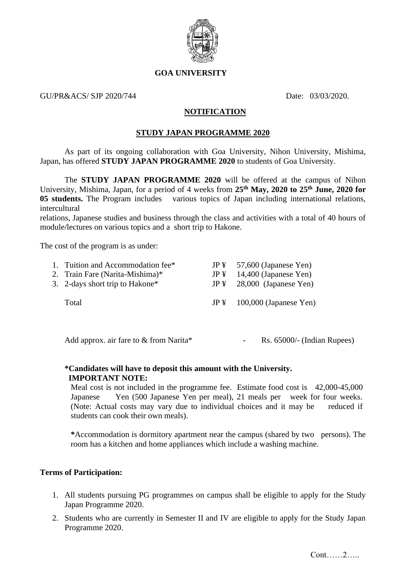

## **GOA UNIVERSITY**

### GU/PR&ACS/ SJP 2020/744 Date: 03/03/2020

## **NOTIFICATION**

#### **STUDY JAPAN PROGRAMME 2020**

As part of its ongoing collaboration with Goa University, Nihon University, Mishima, Japan, has offered **STUDY JAPAN PROGRAMME 2020** to students of Goa University.

The **STUDY JAPAN PROGRAMME 2020** will be offered at the campus of Nihon University, Mishima, Japan, for a period of 4 weeks from **25th May, 2020 to 25th June, 2020 for 05 students.** The Program includes various topics of Japan including international relations, intercultural

relations, Japanese studies and business through the class and activities with a total of 40 hours of module/lectures on various topics and a short trip to Hakone.

The cost of the program is as under:

| 1. Tuition and Accommodation fee* | $JP\ddagger$ 57,600 (Japanese Yen)  |
|-----------------------------------|-------------------------------------|
| 2. Train Fare (Narita-Mishima)*   | $JP\ddagger$ 14,400 (Japanese Yen)  |
| 3. 2-days short trip to Hakone*   | $JP\ddagger$ 28,000 (Japanese Yen)  |
| Total                             | $JP\ddagger$ 100,000 (Japanese Yen) |

Add approx. air fare to & from Narita\* - Rs. 65000/- (Indian Rupees)

# **\*Candidates will have to deposit this amount with the University. IMPORTANT NOTE:**

Meal cost is not included in the programme fee. Estimate food cost is 42,000-45,000 Japanese Yen (500 Japanese Yen per meal), 21 meals per week for four weeks. (Note: Actual costs may vary due to individual choices and it may be reduced if students can cook their own meals).

**\***Accommodation is dormitory apartment near the campus (shared by twopersons). The room has a kitchen and home appliances which include a washing machine.

#### **Terms of Participation:**

- 1. All students pursuing PG programmes on campus shall be eligible to apply for the Study Japan Programme 2020.
- 2. Students who are currently in Semester II and IV are eligible to apply for the Study Japan Programme 2020.